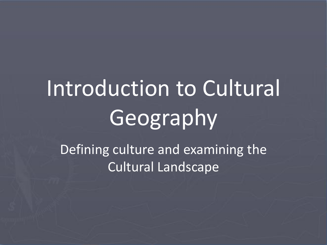# Introduction to Cultural Geography

Defining culture and examining the Cultural Landscape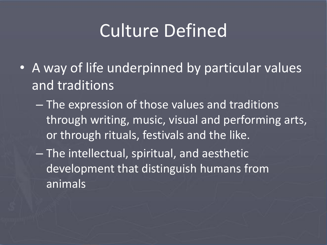### Culture Defined

- A way of life underpinned by particular values and traditions
	- The expression of those values and traditions through writing, music, visual and performing arts, or through rituals, festivals and the like.
	- The intellectual, spiritual, and aesthetic development that distinguish humans from animals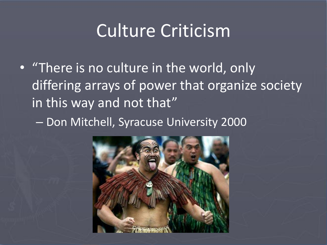### Culture Criticism

• "There is no culture in the world, only differing arrays of power that organize society in this way and not that"

– Don Mitchell, Syracuse University 2000

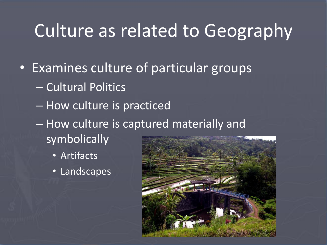### Culture as related to Geography

- Examines culture of particular groups
	- Cultural Politics
	- How culture is practiced
	- How culture is captured materially and symbolically
		- Artifacts
		- Landscapes

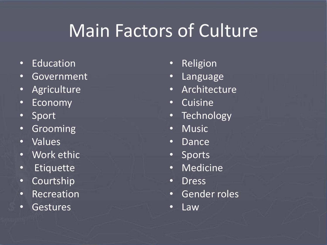## Main Factors of Culture

- Education
- Government
- Agriculture
- Economy
- Sport
- Grooming
- Values
- Work ethic
- Etiquette
- Courtship
- Recreation
- Gestures
- Religion
- Language
- Architecture
- Cuisine
- Technology
- Music
- Dance
- Sports
- Medicine
- Dress
- Gender roles
- Law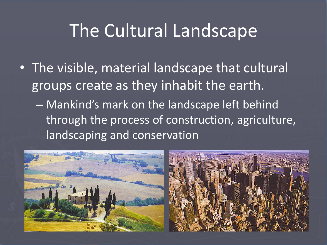### The Cultural Landscape

- The visible, material landscape that cultural groups create as they inhabit the earth.
	- Mankind's mark on the landscape left behind through the process of construction, agriculture, landscaping and conservation

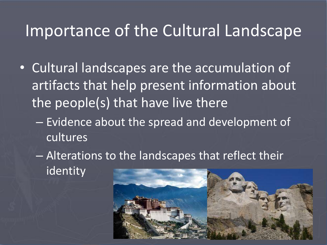### Importance of the Cultural Landscape

- Cultural landscapes are the accumulation of artifacts that help present information about the people(s) that have live there
	- Evidence about the spread and development of **cultures**
	- Alterations to the landscapes that reflect their identity

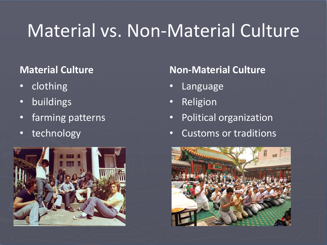## Material vs. Non-Material Culture

#### **Material Culture**

- clothing
- buildings
- farming patterns
- technology



### **Non-Material Culture**

- **Language**
- Religion
- Political organization
- Customs or traditions